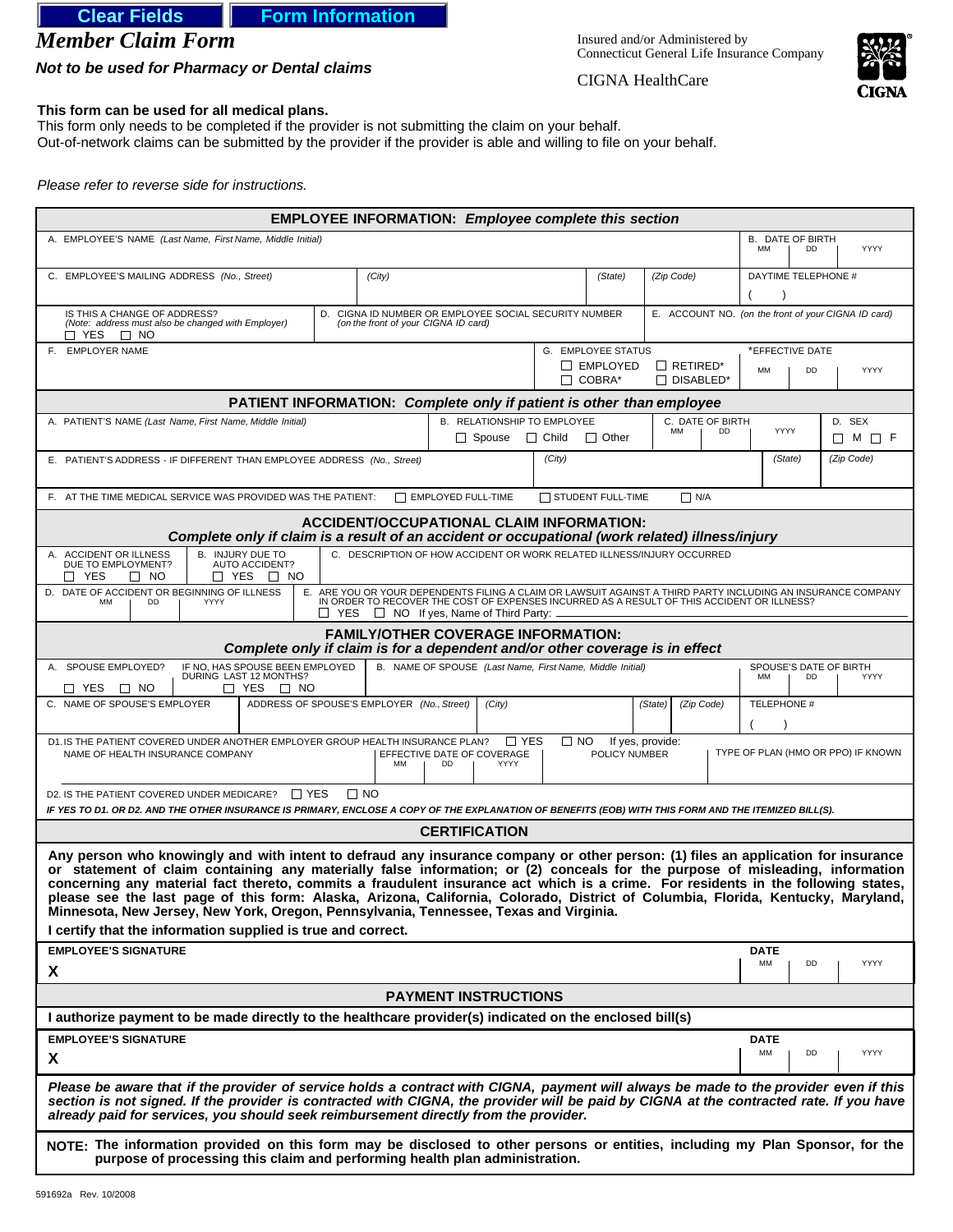# **Clear Fields | Form Information**

*Member Claim Form*

*Not to be used for Pharmacy or Dental claims*

Insured and/or Administered by Connecticut General Life Insurance Company



CIGNA HealthCare

#### **This form can be used for all medical plans.**

This form only needs to be completed if the provider is not submitting the claim on your behalf. Out-of-network claims can be submitted by the provider if the provider is able and willing to file on your behalf.

*Please refer to reverse side for instructions.*

| <b>EMPLOYEE INFORMATION: Employee complete this section</b>                                                                                                                                                                                                                                                                                                                                                                                                                                                                                                                                                                                                                                          |                                                     |  |  |
|------------------------------------------------------------------------------------------------------------------------------------------------------------------------------------------------------------------------------------------------------------------------------------------------------------------------------------------------------------------------------------------------------------------------------------------------------------------------------------------------------------------------------------------------------------------------------------------------------------------------------------------------------------------------------------------------------|-----------------------------------------------------|--|--|
| A. EMPLOYEE'S NAME (Last Name, First Name, Middle Initial)                                                                                                                                                                                                                                                                                                                                                                                                                                                                                                                                                                                                                                           | <b>B. DATE OF BIRTH</b><br>YYYY<br><b>MM</b><br>DD  |  |  |
| C. EMPLOYEE'S MAILING ADDRESS (No., Street)<br>(City)<br>(Zip Code)<br>(State)                                                                                                                                                                                                                                                                                                                                                                                                                                                                                                                                                                                                                       | DAYTIME TELEPHONE #                                 |  |  |
| IS THIS A CHANGE OF ADDRESS?<br>D. CIGNA ID NUMBER OR EMPLOYEE SOCIAL SECURITY NUMBER<br>(Note: address must also be changed with Employer)<br>(on the front of your CIGNA ID card)<br>$\sqcap$ YES<br>$\Box$ No                                                                                                                                                                                                                                                                                                                                                                                                                                                                                     | E. ACCOUNT NO. (on the front of your CIGNA ID card) |  |  |
| F. EMPLOYER NAME<br><b>G. EMPLOYEE STATUS</b><br>$\Box$ EMPLOYED<br>$\Box$ RETIRED*<br>$\Box$ COBRA*<br>$\Box$ DISABLED*                                                                                                                                                                                                                                                                                                                                                                                                                                                                                                                                                                             | *EFFECTIVE DATE<br><b>YYYY</b><br><b>MM</b><br>DD   |  |  |
| <b>PATIENT INFORMATION: Complete only if patient is other than employee</b>                                                                                                                                                                                                                                                                                                                                                                                                                                                                                                                                                                                                                          |                                                     |  |  |
| <b>B. RELATIONSHIP TO EMPLOYEE</b><br>A. PATIENT'S NAME (Last Name, First Name, Middle Initial)<br>C. DATE OF BIRTH<br>MM<br><b>DD</b><br>$\Box$ Child<br>$\Box$ Spouse<br>$\Box$ Other                                                                                                                                                                                                                                                                                                                                                                                                                                                                                                              | D. SEX<br>YYYY<br>□ M □ F                           |  |  |
| (City)<br>E. PATIENT'S ADDRESS - IF DIFFERENT THAN EMPLOYEE ADDRESS (No., Street)                                                                                                                                                                                                                                                                                                                                                                                                                                                                                                                                                                                                                    | (State)<br>(Zip Code)                               |  |  |
| STUDENT FULL-TIME<br>F. AT THE TIME MEDICAL SERVICE WAS PROVIDED WAS THE PATIENT:<br>$\Box$ EMPLOYED FULL-TIME<br>$\Box$ N/A                                                                                                                                                                                                                                                                                                                                                                                                                                                                                                                                                                         |                                                     |  |  |
| ACCIDENT/OCCUPATIONAL CLAIM INFORMATION:<br>Complete only if claim is a result of an accident or occupational (work related) illness/injury                                                                                                                                                                                                                                                                                                                                                                                                                                                                                                                                                          |                                                     |  |  |
| C. DESCRIPTION OF HOW ACCIDENT OR WORK RELATED ILLNESS/INJURY OCCURRED<br>B. INJURY DUE TO<br>AUTO ACCIDENT?<br>A. ACCIDENT OR ILLNESS<br>DUE TO EMPLOYMENT?<br>□ YES<br>$\Box$ YES $\Box$ NO<br>$\Box$ No                                                                                                                                                                                                                                                                                                                                                                                                                                                                                           |                                                     |  |  |
| D. DATE OF ACCIDENT OR BEGINNING OF ILLNESS<br>E. ARE YOU OR YOUR DEPENDENTS FILING A CLAIM OR LAWSUIT AGAINST A THIRD PARTY INCLUDING AN INSURANCE COMPANY IN ORDER TO RECOVER THE COST OF EXPENSES INCURRED AS A RESULT OF THIS ACCIDENT OR ILLNESS?<br>MM<br>YYYY<br>DD<br>$\Box$ YES $\Box$ NO If ves. Name of Third Party: $\Box$                                                                                                                                                                                                                                                                                                                                                               |                                                     |  |  |
| <b>FAMILY/OTHER COVERAGE INFORMATION:</b><br>Complete only if claim is for a dependent and/or other coverage is in effect                                                                                                                                                                                                                                                                                                                                                                                                                                                                                                                                                                            |                                                     |  |  |
| IF NO, HAS SPOUSE BEEN EMPLOYED<br>DURING LAST 12 MONTHS?<br>B. NAME OF SPOUSE (Last Name, First Name, Middle Initial)<br>A. SPOUSE EMPLOYED?<br>□ YES<br>$\Box$ YES $\Box$ NO<br>$\Box$ NO                                                                                                                                                                                                                                                                                                                                                                                                                                                                                                          | SPOUSE'S DATE OF BIRTH<br><b>MM</b><br>YYYY<br>DD   |  |  |
| C. NAME OF SPOUSE'S EMPLOYER<br>ADDRESS OF SPOUSE'S EMPLOYER (No., Street)<br>(City)<br>(State)<br>(Zip Code)                                                                                                                                                                                                                                                                                                                                                                                                                                                                                                                                                                                        | TELEPHONE #                                         |  |  |
| D1. IS THE PATIENT COVERED UNDER ANOTHER EMPLOYER GROUP HEALTH INSURANCE PLAN? □ YES<br>$\Box$ NO<br>If yes, provide:<br>EFFECTIVE DATE OF COVERAGE<br>POLICY NUMBER<br>NAME OF HEALTH INSURANCE COMPANY<br><b>MM</b><br>DD<br><b>YYYY</b>                                                                                                                                                                                                                                                                                                                                                                                                                                                           | TYPE OF PLAN (HMO OR PPO) IF KNOWN                  |  |  |
| $\Box$ YES<br>D2. IS THE PATIENT COVERED UNDER MEDICARE?<br>$\Box$ No                                                                                                                                                                                                                                                                                                                                                                                                                                                                                                                                                                                                                                |                                                     |  |  |
| IF YES TO D1. OR D2. AND THE OTHER INSURANCE IS PRIMARY, ENCLOSE A COPY OF THE EXPLANATION OF BENEFITS (EOB) WITH THIS FORM AND THE ITEMIZED BILL(S).<br><b>CERTIFICATION</b>                                                                                                                                                                                                                                                                                                                                                                                                                                                                                                                        |                                                     |  |  |
| Any person who knowingly and with intent to defraud any insurance company or other person: (1) files an application for insurance<br>or statement of claim containing any materially false information; or (2) conceals for the purpose of misleading, information<br>concerning any material fact thereto, commits a fraudulent insurance act which is a crime. For residents in the following states,<br>please see the last page of this form: Alaska, Arizona, California, Colorado, District of Columbia, Florida, Kentucky, Maryland,<br>Minnesota, New Jersey, New York, Oregon, Pennsylvania, Tennessee, Texas and Virginia.<br>I certify that the information supplied is true and correct. |                                                     |  |  |
| <b>EMPLOYEE'S SIGNATURE</b>                                                                                                                                                                                                                                                                                                                                                                                                                                                                                                                                                                                                                                                                          | <b>DATE</b><br>MM<br>DD<br><b>YYYY</b>              |  |  |
| X                                                                                                                                                                                                                                                                                                                                                                                                                                                                                                                                                                                                                                                                                                    |                                                     |  |  |
| <b>PAYMENT INSTRUCTIONS</b>                                                                                                                                                                                                                                                                                                                                                                                                                                                                                                                                                                                                                                                                          |                                                     |  |  |
| I authorize payment to be made directly to the healthcare provider(s) indicated on the enclosed bill(s)                                                                                                                                                                                                                                                                                                                                                                                                                                                                                                                                                                                              |                                                     |  |  |
| <b>EMPLOYEE'S SIGNATURE</b><br>X                                                                                                                                                                                                                                                                                                                                                                                                                                                                                                                                                                                                                                                                     | <b>DATE</b><br>MM<br><b>YYYY</b><br>DD              |  |  |
| Please be aware that if the provider of service holds a contract with CIGNA, payment will always be made to the provider even if this<br>section is not signed. If the provider is contracted with CIGNA, the provider will be paid by CIGNA at the contracted rate. If you have<br>already paid for services, you should seek reimbursement directly from the provider.                                                                                                                                                                                                                                                                                                                             |                                                     |  |  |
| NOTE: The information provided on this form may be disclosed to other persons or entities, including my Plan Sponsor, for the<br>purpose of processing this claim and performing health plan administration.                                                                                                                                                                                                                                                                                                                                                                                                                                                                                         |                                                     |  |  |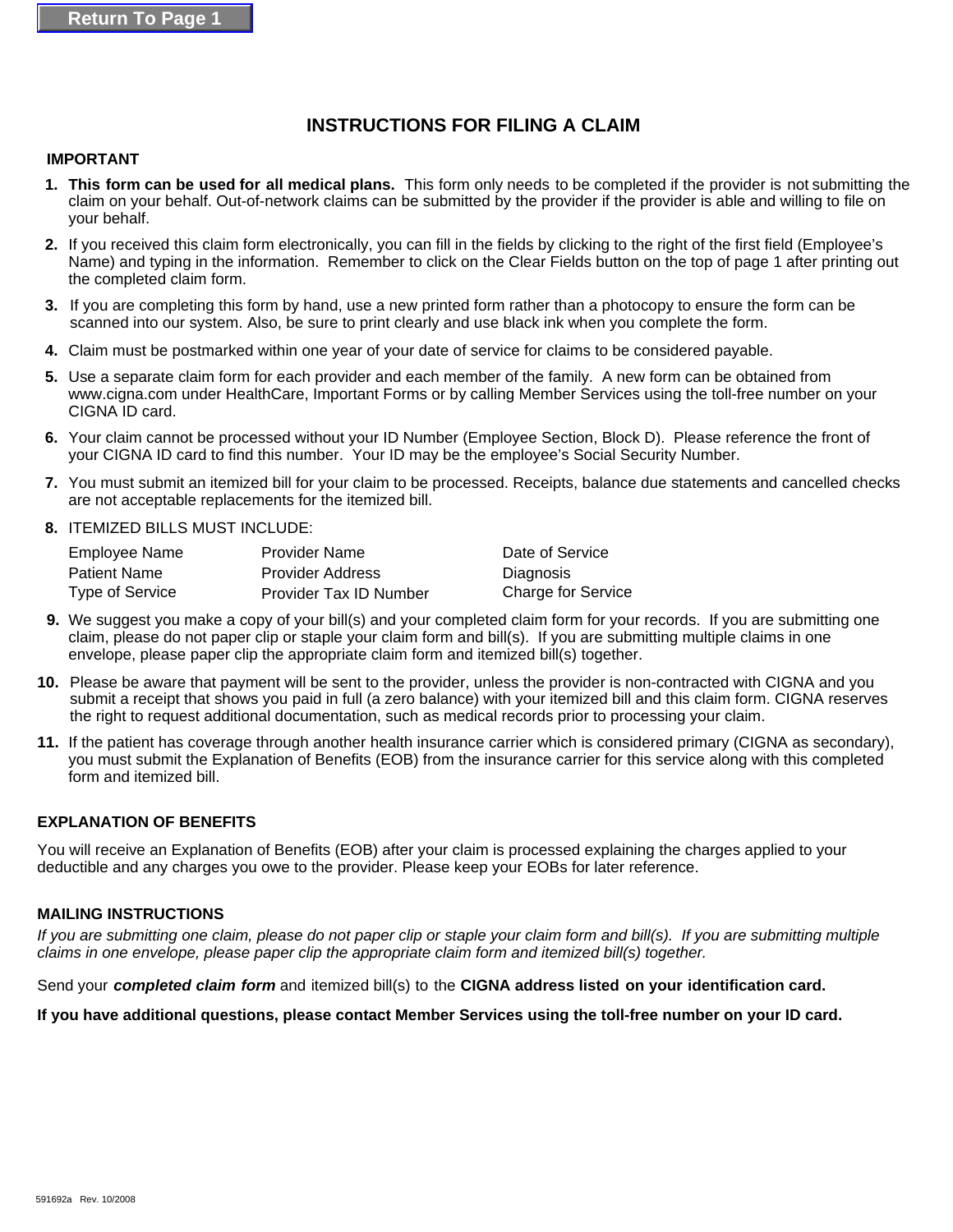## **INSTRUCTIONS FOR FILING A CLAIM**

#### **IMPORTANT**

- **1. This form can be used for all medical plans.** This form only needs to be completed if the provider is not submitting the claim on your behalf. Out-of-network claims can be submitted by the provider if the provider is able and willing to file on your behalf.
- **2.** If you received this claim form electronically, you can fill in the fields by clicking to the right of the first field (Employee's Name) and typing in the information. Remember to click on the Clear Fields button on the top of page 1 after printing out the completed claim form.
- If you are completing this form by hand, use a new printed form rather than a photocopy to ensure the form can be **3.**  scanned into our system. Also, be sure to print clearly and use black ink when you complete the form.
- **4.** Claim must be postmarked within one year of your date of service for claims to be considered payable.
- **5.** Use a separate claim form for each provider and each member of the family. A new form can be obtained from www.cigna.com under HealthCare, Important Forms or by calling Member Services using the toll-free number on your CIGNA ID card.
- 6. Your claim cannot be processed without your ID Number (Employee Section, Block D). Please reference the front of your CIGNA ID card to find this number. Your ID may be the employee's Social Security Number.
- **7.**  You must submit an itemized bill for your claim to be processed. Receipts, balance due statements and cancelled checks are not acceptable replacements for the itemized bill.
- **8.**  ITEMIZED BILLS MUST INCLUDE:

| Employee Name       | <b>Provider Name</b>          | Date of Service    |
|---------------------|-------------------------------|--------------------|
| <b>Patient Name</b> | <b>Provider Address</b>       | Diagnosis          |
| Type of Service     | <b>Provider Tax ID Number</b> | Charge for Service |

- **9.** We suggest you make a copy of your bill(s) and your completed claim form for your records. If you are submitting one claim, please do not paper clip or staple your claim form and bill(s). If you are submitting multiple claims in one envelope, please paper clip the appropriate claim form and itemized bill(s) together.
- Please be aware that payment will be sent to the provider, unless the provider is non-contracted with CIGNA and you **10.**  submit a receipt that shows you paid in full (a zero balance) with your itemized bill and this claim form. CIGNA reserves the right to request additional documentation, such as medical records prior to processing your claim.
- **11.** If the patient has coverage through another health insurance carrier which is considered primary (CIGNA as secondary), you must submit the Explanation of Benefits (EOB) from the insurance carrier for this service along with this completed form and itemized bill.

### **EXPLANATION OF BENEFITS**

You will receive an Explanation of Benefits (EOB) after your claim is processed explaining the charges applied to your deductible and any charges you owe to the provider. Please keep your EOBs for later reference.

#### **MAILING INSTRUCTIONS**

*If you are submitting one claim, please do not paper clip or staple your claim form and bill(s). If you are submitting multiple claims in one envelope, please paper clip the appropriate claim form and itemized bill(s) together.*

Send your *completed claim form* and itemized bill(s) to the **CIGNA address listed on your identification card.**

**If you have additional questions, please contact Member Services using the toll-free number on your ID card.**